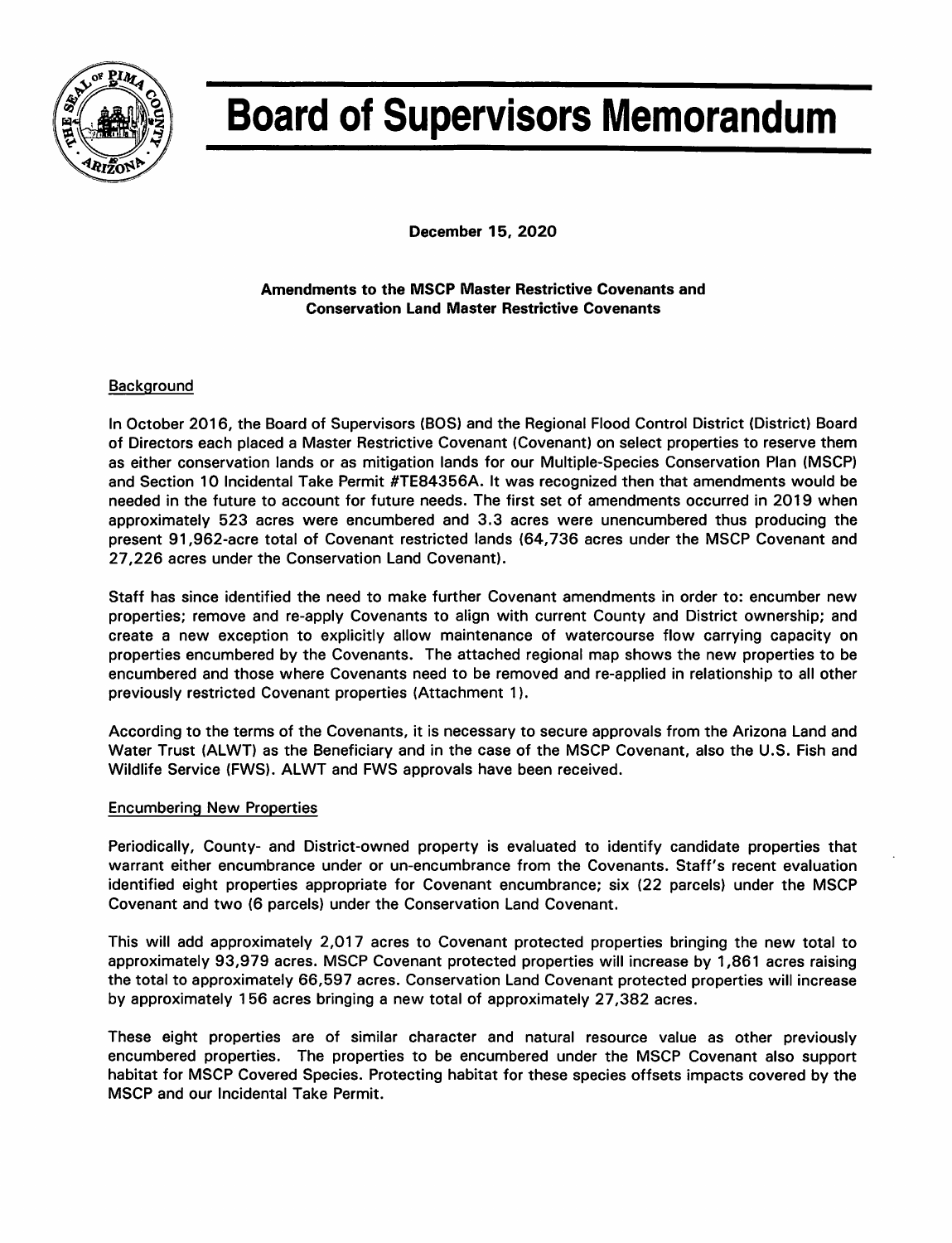

# **Board of Supervisors Memorandum**

December 15, 2020

Amendments to the MSCP Master Restrictive Covenants and **Conservation Land Master Restrictive Covenants** 

### Background

In October 2016, the Board of Supervisors (BOS) and the Regional Flood Control District (District) Board of Directors each placed a Master Restrictive Covenant (Covenant) on select properties to reserve them as either conservation lands or as mitigation lands for our Multiple-Species Conservation Plan (MSCP) and Section 10 Incidental Take Permit #TE84356A. It was recognized then that amendments would be needed in the future to account for future needs. The first set of amendments occurred in 2019 when approximately 523 acres were encumbered and 3.3 acres were unencumbered thus producing the present 91,962-acre total of Covenant restricted lands (64,736 acres under the MSCP Covenant and 27,226 acres under the Conservation Land Covenant).

Staff has since identified the need to make further Covenant amendments in order to: encumber new properties; remove and re-apply Covenants to align with current County and District ownership; and create a new exception to explicitly allow maintenance of watercourse flow carrying capacity on properties encumbered by the Covenants. The attached regional map shows the new properties to be encumbered and those where Covenants need to be removed and re-applied in relationship to all other previously restricted Covenant properties (Attachment 1).

According to the terms of the Covenants, it is necessary to secure approvals from the Arizona Land and Water Trust (ALWT) as the Beneficiary and in the case of the MSCP Covenant, also the U.S. Fish and Wildlife Service (FWS). ALWT and FWS approvals have been received.

### **Encumbering New Properties**

Periodically, County- and District-owned property is evaluated to identify candidate properties that warrant either encumbrance under or un-encumbrance from the Covenants. Staff's recent evaluation identified eight properties appropriate for Covenant encumbrance; six (22 parcels) under the MSCP Covenant and two (6 parcels) under the Conservation Land Covenant.

This will add approximately 2,017 acres to Covenant protected properties bringing the new total to approximately 93,979 acres. MSCP Covenant protected properties will increase by 1,861 acres raising the total to approximately 66,597 acres. Conservation Land Covenant protected properties will increase by approximately 156 acres bringing a new total of approximately 27,382 acres.

These eight properties are of similar character and natural resource value as other previously encumbered properties. The properties to be encumbered under the MSCP Covenant also support habitat for MSCP Covered Species. Protecting habitat for these species offsets impacts covered by the MSCP and our Incidental Take Permit.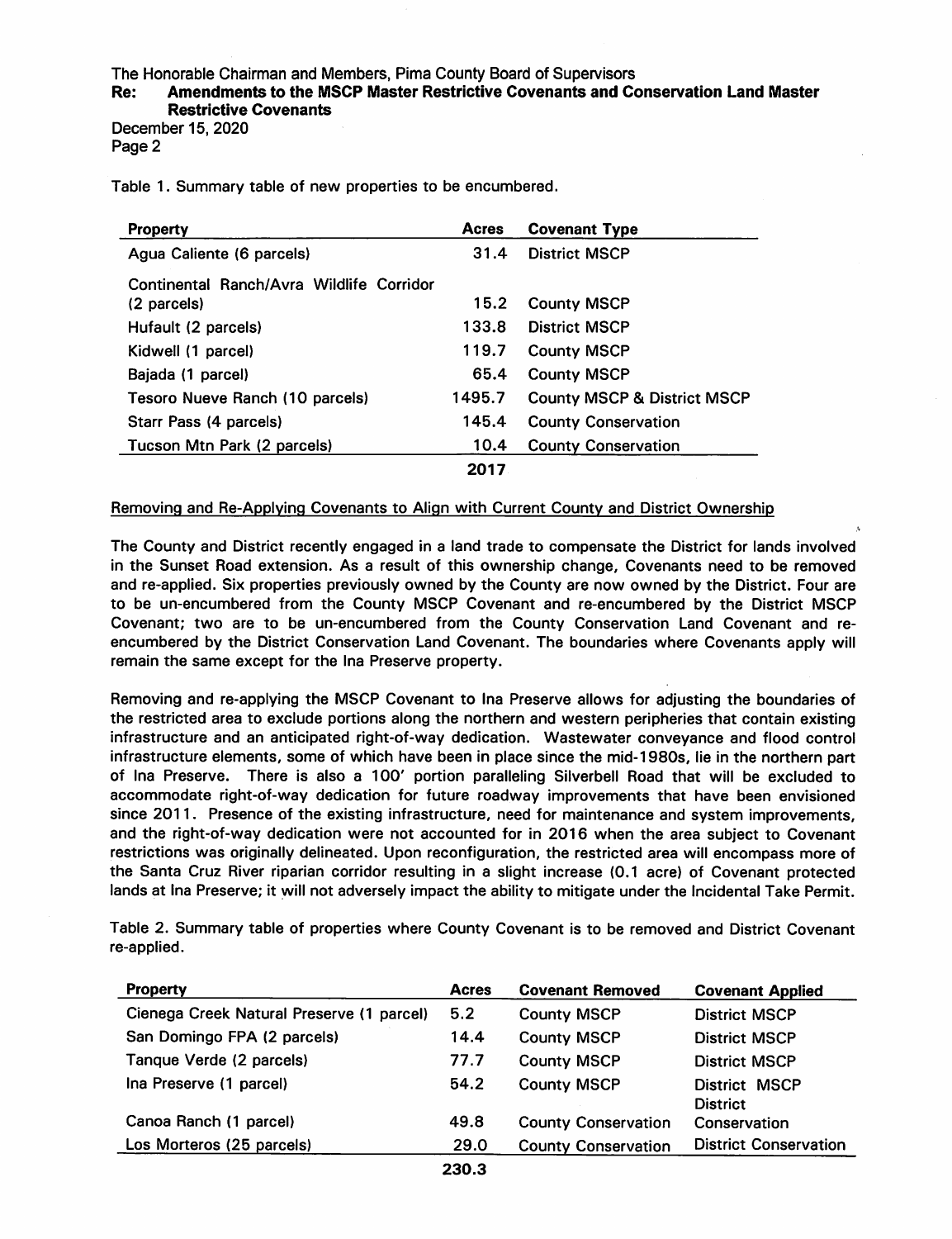### The Honorable Chairman and Members, Pima County Board of Supervisors

### Amendments to the MSCP Master Restrictive Covenants and Conservation Land Master Re: **Restrictive Covenants**

December 15, 2020 Page 2

Table 1. Summary table of new properties to be encumbered.

| <b>Property</b>                          | <b>Acres</b> | <b>Covenant Type</b>                   |
|------------------------------------------|--------------|----------------------------------------|
| Agua Caliente (6 parcels)                | 31.4         | <b>District MSCP</b>                   |
| Continental Ranch/Avra Wildlife Corridor |              |                                        |
| (2 parcels)                              | 15.2         | <b>County MSCP</b>                     |
| Hufault (2 parcels)                      | 133.8        | <b>District MSCP</b>                   |
| Kidwell (1 parcel)                       | 119.7        | <b>County MSCP</b>                     |
| Bajada (1 parcel)                        | 65.4         | <b>County MSCP</b>                     |
| Tesoro Nueve Ranch (10 parcels)          | 1495.7       | <b>County MSCP &amp; District MSCP</b> |
| Starr Pass (4 parcels)                   | 145.4        | <b>County Conservation</b>             |
| Tucson Mtn Park (2 parcels)              | 10.4         | <b>County Conservation</b>             |
|                                          | 2017         |                                        |

### Removing and Re-Applying Covenants to Align with Current County and District Ownership

The County and District recently engaged in a land trade to compensate the District for lands involved in the Sunset Road extension. As a result of this ownership change, Covenants need to be removed and re-applied. Six properties previously owned by the County are now owned by the District. Four are to be un-encumbered from the County MSCP Covenant and re-encumbered by the District MSCP Covenant; two are to be un-encumbered from the County Conservation Land Covenant and reencumbered by the District Conservation Land Covenant. The boundaries where Covenants apply will remain the same except for the Ina Preserve property.

Removing and re-applying the MSCP Covenant to Ina Preserve allows for adjusting the boundaries of the restricted area to exclude portions along the northern and western peripheries that contain existing infrastructure and an anticipated right-of-way dedication. Wastewater conveyance and flood control infrastructure elements, some of which have been in place since the mid-1980s, lie in the northern part of Ina Preserve. There is also a 100' portion paralleling Silverbell Road that will be excluded to accommodate right-of-way dedication for future roadway improvements that have been envisioned since 2011. Presence of the existing infrastructure, need for maintenance and system improvements, and the right-of-way dedication were not accounted for in 2016 when the area subject to Covenant restrictions was originally delineated. Upon reconfiguration, the restricted area will encompass more of the Santa Cruz River riparian corridor resulting in a slight increase (0.1 acre) of Covenant protected lands at lna Preserve; it will not adversely impact the ability to mitigate under the Incidental Take Permit.

Table 2. Summary table of properties where County Covenant is to be removed and District Covenant re-applied.

| <b>Property</b>                           | <b>Acres</b> | <b>Covenant Removed</b>    | <b>Covenant Applied</b>                 |
|-------------------------------------------|--------------|----------------------------|-----------------------------------------|
| Cienega Creek Natural Preserve (1 parcel) | 5.2          | <b>County MSCP</b>         | <b>District MSCP</b>                    |
| San Domingo FPA (2 parcels)               | 14.4         | <b>County MSCP</b>         | <b>District MSCP</b>                    |
| Tanque Verde (2 parcels)                  | 77.7         | <b>County MSCP</b>         | <b>District MSCP</b>                    |
| Ina Preserve (1 parcel)                   | 54.2         | <b>County MSCP</b>         | <b>District MSCP</b><br><b>District</b> |
| Canoa Ranch (1 parcel)                    | 49.8         | <b>County Conservation</b> | Conservation                            |
| Los Morteros (25 parcels)                 | 29.0         | <b>County Conservation</b> | <b>District Conservation</b>            |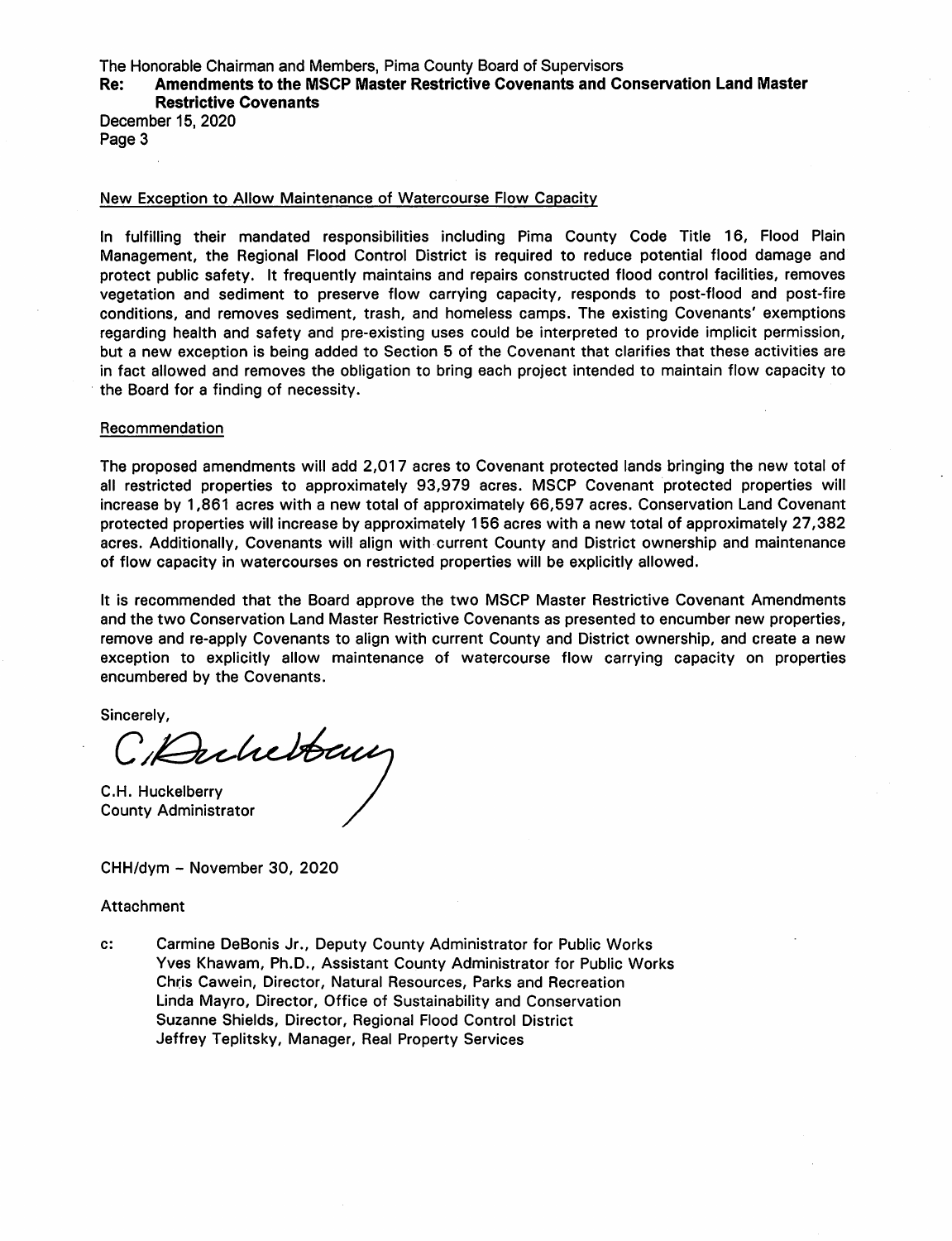The Honorable Chairman and Members, Pima County Board of Supervisors

### Amendments to the MSCP Master Restrictive Covenants and Conservation Land Master Re: **Restrictive Covenants**

December 15, 2020 Page 3

### New Exception to Allow Maintenance of Watercourse Flow Capacity

In fulfilling their mandated responsibilities including Pima County Code Title 16, Flood Plain Management, the Regional Flood Control District is required to reduce potential flood damage and protect public safety. It frequently maintains and repairs constructed flood control facilities, removes vegetation and sediment to preserve flow carrying capacity, responds to post-flood and post-fire conditions, and removes sediment, trash, and homeless camps. The existing Covenants' exemptions regarding health and safety and pre-existing uses could be interpreted to provide implicit permission, but a new exception is being added to Section 5 of the Covenant that clarifies that these activities are in fact allowed and removes the obligation to bring each project intended to maintain flow capacity to the Board for a finding of necessity.

### Recommendation

The proposed amendments will add 2,017 acres to Covenant protected lands bringing the new total of all restricted properties to approximately 93,979 acres. MSCP Covenant protected properties will increase by 1,861 acres with a new total of approximately 66,597 acres. Conservation Land Covenant protected properties will increase by approximately 156 acres with a new total of approximately 27,382 acres. Additionally, Covenants will align with current County and District ownership and maintenance of flow capacity in watercourses on restricted properties will be explicitly allowed.

It is recommended that the Board approve the two MSCP Master Restrictive Covenant Amendments and the two Conservation Land Master Restrictive Covenants as presented to encumber new properties, remove and re-apply Covenants to align with current County and District ownership, and create a new exception to explicitly allow maintenance of watercourse flow carrying capacity on properties encumbered by the Covenants.

Sincerely,

C.Dukebourg

C.H. Huckelberry **County Administrator** 

CHH/dym - November 30, 2020

### Attachment

Carmine DeBonis Jr., Deputy County Administrator for Public Works  $c$ : Yves Khawam, Ph.D., Assistant County Administrator for Public Works Chris Cawein, Director, Natural Resources, Parks and Recreation Linda Mayro, Director, Office of Sustainability and Conservation Suzanne Shields, Director, Regional Flood Control District Jeffrey Teplitsky, Manager, Real Property Services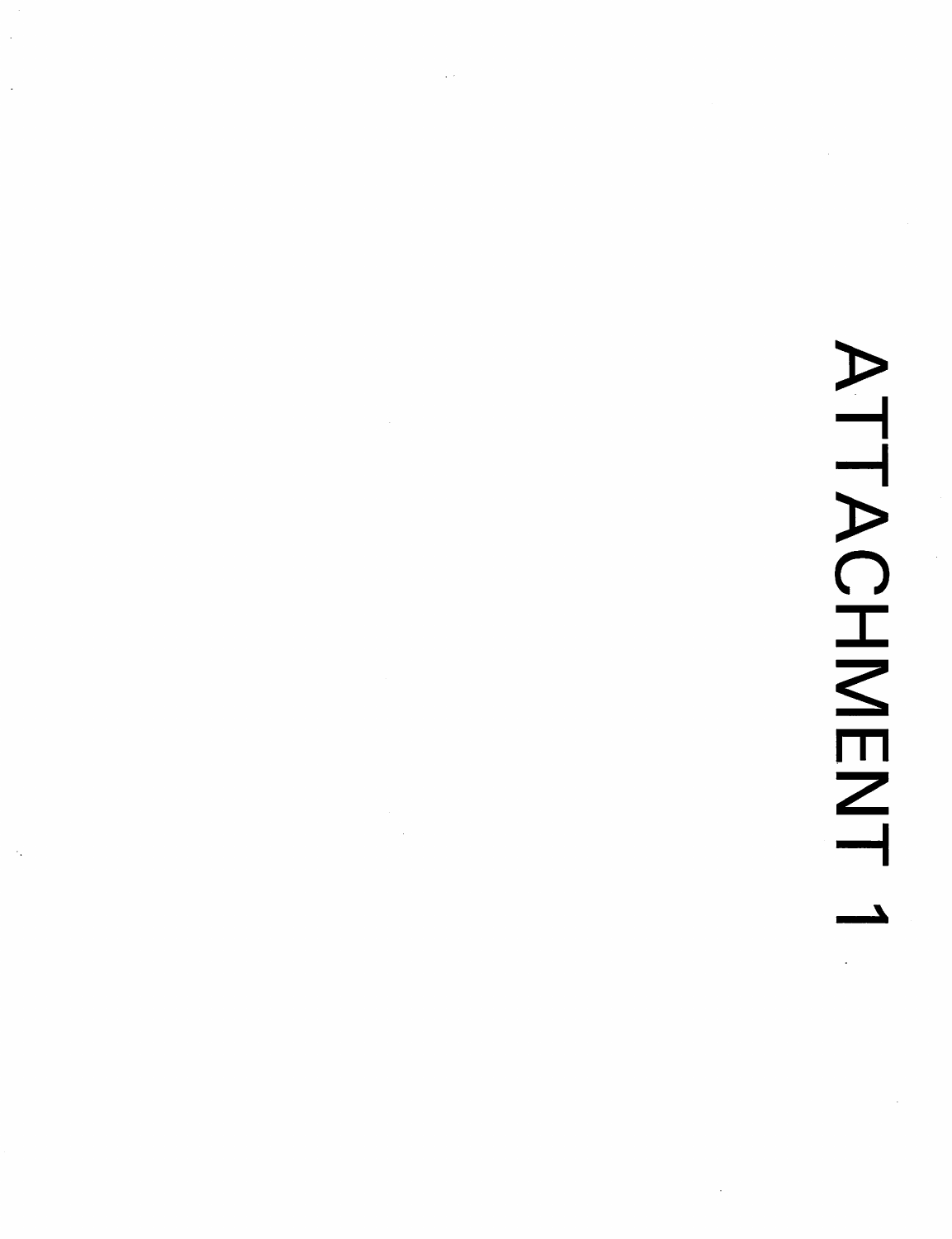# ATTACHMENT  $\mathcal{L}^{\text{max}}$

 $\frac{1}{2}$ 

 $\hat{\cdot}$ 

 $\mathcal{L}(\mathcal{A})$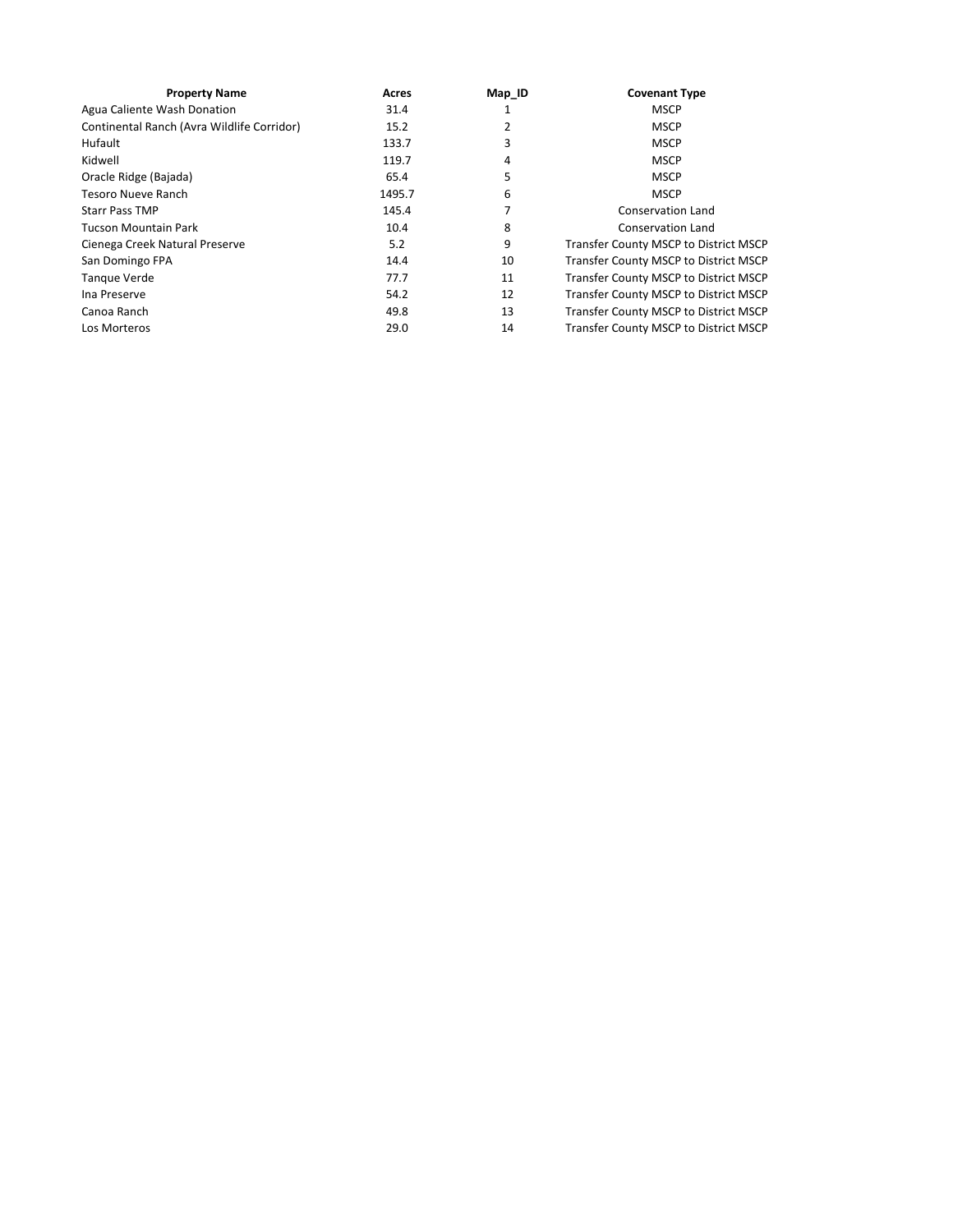| <b>Property Name</b>                       | Acres  | Map ID | <b>Covenant Type</b>                  |
|--------------------------------------------|--------|--------|---------------------------------------|
| Agua Caliente Wash Donation                | 31.4   |        | <b>MSCP</b>                           |
| Continental Ranch (Avra Wildlife Corridor) | 15.2   | 2      | <b>MSCP</b>                           |
| Hufault                                    | 133.7  | 3      | <b>MSCP</b>                           |
| Kidwell                                    | 119.7  | 4      | <b>MSCP</b>                           |
| Oracle Ridge (Bajada)                      | 65.4   | 5      | <b>MSCP</b>                           |
| Tesoro Nueve Ranch                         | 1495.7 | 6      | <b>MSCP</b>                           |
| <b>Starr Pass TMP</b>                      | 145.4  |        | <b>Conservation Land</b>              |
| <b>Tucson Mountain Park</b>                | 10.4   | 8      | <b>Conservation Land</b>              |
| Cienega Creek Natural Preserve             | 5.2    | 9      | Transfer County MSCP to District MSCP |
| San Domingo FPA                            | 14.4   | 10     | Transfer County MSCP to District MSCP |
| Tanque Verde                               | 77.7   | 11     | Transfer County MSCP to District MSCP |
| Ina Preserve                               | 54.2   | 12     | Transfer County MSCP to District MSCP |
| Canoa Ranch                                | 49.8   | 13     | Transfer County MSCP to District MSCP |
| Los Morteros                               | 29.0   | 14     | Transfer County MSCP to District MSCP |